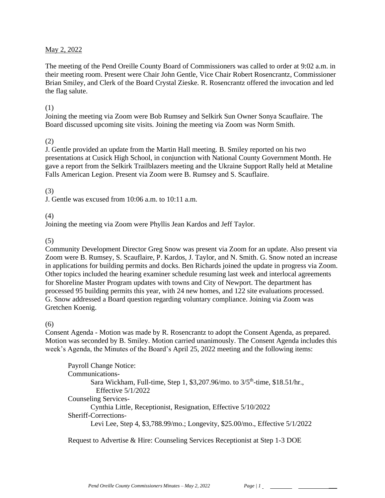### May 2, 2022

The meeting of the Pend Oreille County Board of Commissioners was called to order at 9:02 a.m. in their meeting room. Present were Chair John Gentle, Vice Chair Robert Rosencrantz, Commissioner Brian Smiley, and Clerk of the Board Crystal Zieske. R. Rosencrantz offered the invocation and led the flag salute.

### (1)

Joining the meeting via Zoom were Bob Rumsey and Selkirk Sun Owner Sonya Scauflaire. The Board discussed upcoming site visits. Joining the meeting via Zoom was Norm Smith.

### (2)

J. Gentle provided an update from the Martin Hall meeting. B. Smiley reported on his two presentations at Cusick High School, in conjunction with National County Government Month. He gave a report from the Selkirk Trailblazers meeting and the Ukraine Support Rally held at Metaline Falls American Legion. Present via Zoom were B. Rumsey and S. Scauflaire.

### (3)

J. Gentle was excused from 10:06 a.m. to 10:11 a.m.

#### (4)

Joining the meeting via Zoom were Phyllis Jean Kardos and Jeff Taylor.

### (5)

Community Development Director Greg Snow was present via Zoom for an update. Also present via Zoom were B. Rumsey, S. Scauflaire, P. Kardos, J. Taylor, and N. Smith. G. Snow noted an increase in applications for building permits and docks. Ben Richards joined the update in progress via Zoom. Other topics included the hearing examiner schedule resuming last week and interlocal agreements for Shoreline Master Program updates with towns and City of Newport. The department has processed 95 building permits this year, with 24 new homes, and 122 site evaluations processed. G. Snow addressed a Board question regarding voluntary compliance. Joining via Zoom was Gretchen Koenig.

#### $(6)$

Consent Agenda - Motion was made by R. Rosencrantz to adopt the Consent Agenda, as prepared. Motion was seconded by B. Smiley. Motion carried unanimously. The Consent Agenda includes this week's Agenda, the Minutes of the Board's April 25, 2022 meeting and the following items:

Payroll Change Notice: Communications-Sara Wickham, Full-time, Step 1, \$3,207.96/mo. to 3/5<sup>th</sup>-time, \$18.51/hr., Effective 5/1/2022 Counseling Services-Cynthia Little, Receptionist, Resignation, Effective 5/10/2022 Sheriff-Corrections-Levi Lee, Step 4, \$3,788.99/mo.; Longevity, \$25.00/mo., Effective 5/1/2022

Request to Advertise & Hire: Counseling Services Receptionist at Step 1-3 DOE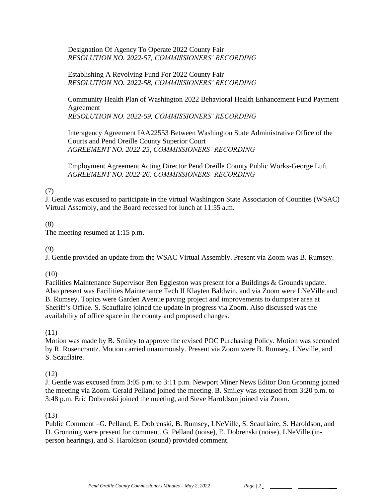# Designation Of Agency To Operate 2022 County Fair *RESOLUTION NO. 2022-57, COMMISSIONERS' RECORDING*

Establishing A Revolving Fund For 2022 County Fair *RESOLUTION NO. 2022-58, COMMISSIONERS' RECORDING* 

Community Health Plan of Washington 2022 Behavioral Health Enhancement Fund Payment Agreement *RESOLUTION NO. 2022-59, COMMISSIONERS' RECORDING* 

Interagency Agreement IAA22553 Between Washington State Administrative Office of the Courts and Pend Oreille County Superior Court *AGREEMENT NO. 2022-25, COMMISSIONERS' RECORDING*

Employment Agreement Acting Director Pend Oreille County Public Works-George Luft *AGREEMENT NO. 2022-26, COMMISSIONERS' RECORDING*

# (7)

J. Gentle was excused to participate in the virtual Washington State Association of Counties (WSAC) Virtual Assembly, and the Board recessed for lunch at 11:55 a.m.

### (8)

The meeting resumed at 1:15 p.m.

### (9)

J. Gentle provided an update from the WSAC Virtual Assembly. Present via Zoom was B. Rumsey.

#### $(10)$

Facilities Maintenance Supervisor Ben Eggleston was present for a Buildings & Grounds update. Also present was Facilities Maintenance Tech II Klayten Baldwin, and via Zoom were LNeVille and B. Rumsey. Topics were Garden Avenue paving project and improvements to dumpster area at Sheriff's Office. S. Scauflaire joined the update in progress via Zoom. Also discussed was the availability of office space in the county and proposed changes.

(11)

Motion was made by B. Smiley to approve the revised POC Purchasing Policy. Motion was seconded by R. Rosencrantz. Motion carried unanimously. Present via Zoom were B. Rumsey, LNeville, and S. Scauflaire.

# (12)

J. Gentle was excused from 3:05 p.m. to 3:11 p.m. Newport Miner News Editor Don Gronning joined the meeting via Zoom. Gerald Pelland joined the meeting. B. Smiley was excused from 3:20 p.m. to 3:48 p.m. Eric Dobrenski joined the meeting, and Steve Haroldson joined via Zoom.

# (13)

Public Comment –G. Pelland, E. Dobrenski, B. Rumsey, LNeVille, S. Scauflaire, S. Haroldson, and D. Gronning were present for comment. G. Pelland (noise), E. Dobrenski (noise), LNeVille (inperson hearings), and S. Haroldson (sound) provided comment.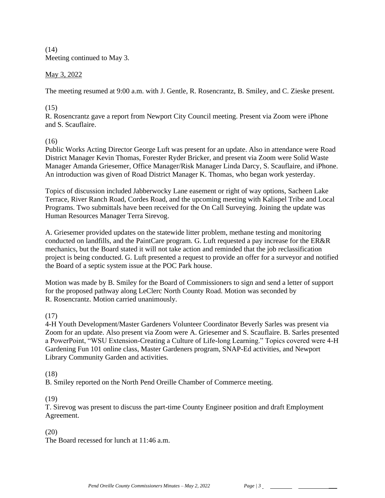$(14)$ Meeting continued to May 3.

# May 3, 2022

The meeting resumed at 9:00 a.m. with J. Gentle, R. Rosencrantz, B. Smiley, and C. Zieske present.

# (15)

R. Rosencrantz gave a report from Newport City Council meeting. Present via Zoom were iPhone and S. Scauflaire.

# (16)

Public Works Acting Director George Luft was present for an update. Also in attendance were Road District Manager Kevin Thomas, Forester Ryder Bricker, and present via Zoom were Solid Waste Manager Amanda Griesemer, Office Manager/Risk Manager Linda Darcy, S. Scauflaire, and iPhone. An introduction was given of Road District Manager K. Thomas, who began work yesterday.

Topics of discussion included Jabberwocky Lane easement or right of way options, Sacheen Lake Terrace, River Ranch Road, Cordes Road, and the upcoming meeting with Kalispel Tribe and Local Programs. Two submittals have been received for the On Call Surveying. Joining the update was Human Resources Manager Terra Sirevog.

A. Griesemer provided updates on the statewide litter problem, methane testing and monitoring conducted on landfills, and the PaintCare program. G. Luft requested a pay increase for the ER&R mechanics, but the Board stated it will not take action and reminded that the job reclassification project is being conducted. G. Luft presented a request to provide an offer for a surveyor and notified the Board of a septic system issue at the POC Park house.

Motion was made by B. Smiley for the Board of Commissioners to sign and send a letter of support for the proposed pathway along LeClerc North County Road. Motion was seconded by R. Rosencrantz. Motion carried unanimously.

# (17)

4-H Youth Development/Master Gardeners Volunteer Coordinator Beverly Sarles was present via Zoom for an update. Also present via Zoom were A. Griesemer and S. Scauflaire. B. Sarles presented a PowerPoint, "WSU Extension-Creating a Culture of Life-long Learning." Topics covered were 4-H Gardening Fun 101 online class, Master Gardeners program, SNAP-Ed activities, and Newport Library Community Garden and activities.

# (18)

B. Smiley reported on the North Pend Oreille Chamber of Commerce meeting.

# (19)

T. Sirevog was present to discuss the part-time County Engineer position and draft Employment Agreement.

# (20)

The Board recessed for lunch at 11:46 a.m.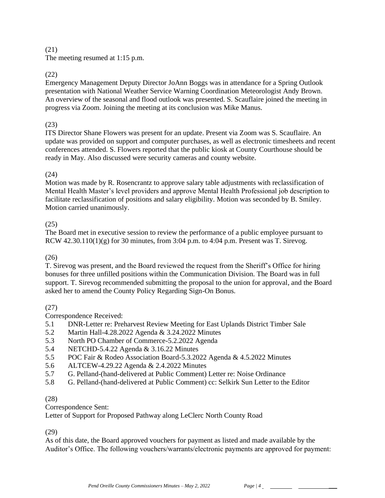### (21)

The meeting resumed at 1:15 p.m.

# (22)

Emergency Management Deputy Director JoAnn Boggs was in attendance for a Spring Outlook presentation with National Weather Service Warning Coordination Meteorologist Andy Brown. An overview of the seasonal and flood outlook was presented. S. Scauflaire joined the meeting in progress via Zoom. Joining the meeting at its conclusion was Mike Manus.

# (23)

ITS Director Shane Flowers was present for an update. Present via Zoom was S. Scauflaire. An update was provided on support and computer purchases, as well as electronic timesheets and recent conferences attended. S. Flowers reported that the public kiosk at County Courthouse should be ready in May. Also discussed were security cameras and county website.

# (24)

Motion was made by R. Rosencrantz to approve salary table adjustments with reclassification of Mental Health Master's level providers and approve Mental Health Professional job description to facilitate reclassification of positions and salary eligibility. Motion was seconded by B. Smiley. Motion carried unanimously.

# (25)

The Board met in executive session to review the performance of a public employee pursuant to RCW  $42.30.110(1)(g)$  for 30 minutes, from 3:04 p.m. to  $4:04$  p.m. Present was T. Sirevog.

# (26)

T. Sirevog was present, and the Board reviewed the request from the Sheriff's Office for hiring bonuses for three unfilled positions within the Communication Division. The Board was in full support. T. Sirevog recommended submitting the proposal to the union for approval, and the Board asked her to amend the County Policy Regarding Sign-On Bonus.

# (27)

Correspondence Received:

- 5.1 DNR-Letter re: Preharvest Review Meeting for East Uplands District Timber Sale
- 5.2 Martin Hall-4.28.2022 Agenda & 3.24.2022 Minutes
- 5.3 North PO Chamber of Commerce-5.2.2022 Agenda
- 5.4 NETCHD-5.4.22 Agenda & 3.16.22 Minutes
- 5.5 POC Fair & Rodeo Association Board-5.3.2022 Agenda & 4.5.2022 Minutes
- 5.6 ALTCEW-4.29.22 Agenda & 2.4.2022 Minutes
- 5.7 G. Pelland-(hand-delivered at Public Comment) Letter re: Noise Ordinance
- 5.8 G. Pelland-(hand-delivered at Public Comment) cc: Selkirk Sun Letter to the Editor

# (28)

Correspondence Sent:

Letter of Support for Proposed Pathway along LeClerc North County Road

(29)

As of this date, the Board approved vouchers for payment as listed and made available by the Auditor's Office. The following vouchers/warrants/electronic payments are approved for payment: